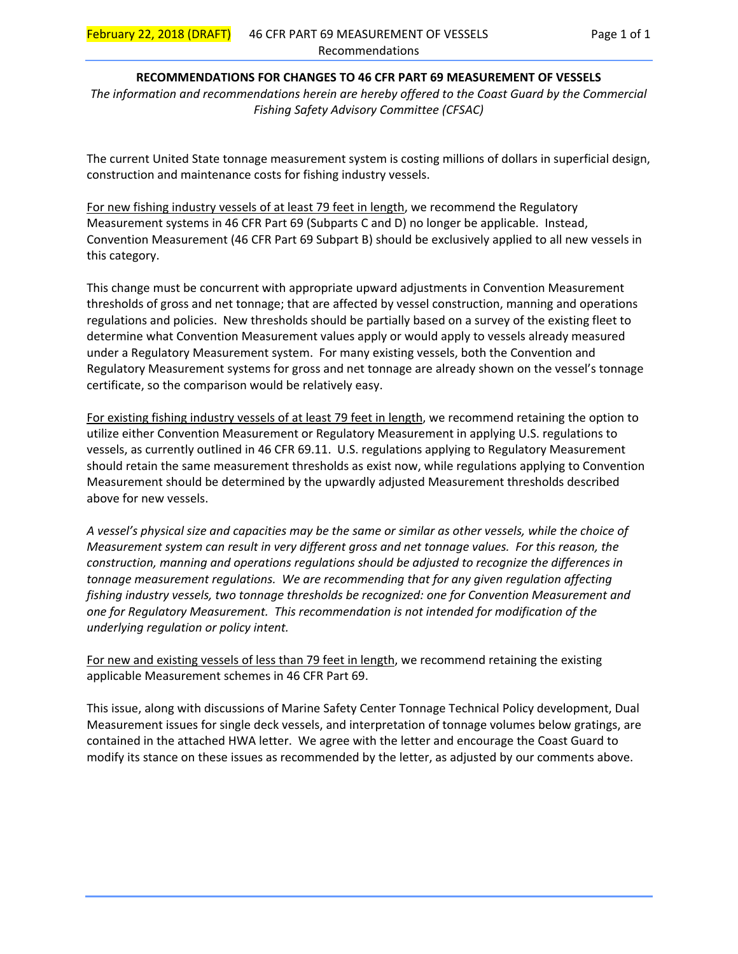# **RECOMMENDATIONS FOR CHANGES TO 46 CFR PART 69 MEASUREMENT OF VESSELS**

*The information and recommendations herein are hereby offered to the Coast Guard by the Commercial Fishing Safety Advisory Committee (CFSAC)* 

The current United State tonnage measurement system is costing millions of dollars in superficial design, construction and maintenance costs for fishing industry vessels.

For new fishing industry vessels of at least 79 feet in length, we recommend the Regulatory Measurement systems in 46 CFR Part 69 (Subparts C and D) no longer be applicable. Instead, Convention Measurement (46 CFR Part 69 Subpart B) should be exclusively applied to all new vessels in this category.

This change must be concurrent with appropriate upward adjustments in Convention Measurement thresholds of gross and net tonnage; that are affected by vessel construction, manning and operations regulations and policies. New thresholds should be partially based on a survey of the existing fleet to determine what Convention Measurement values apply or would apply to vessels already measured under a Regulatory Measurement system. For many existing vessels, both the Convention and Regulatory Measurement systems for gross and net tonnage are already shown on the vessel's tonnage certificate, so the comparison would be relatively easy.

For existing fishing industry vessels of at least 79 feet in length, we recommend retaining the option to utilize either Convention Measurement or Regulatory Measurement in applying U.S. regulations to vessels, as currently outlined in 46 CFR 69.11. U.S. regulations applying to Regulatory Measurement should retain the same measurement thresholds as exist now, while regulations applying to Convention Measurement should be determined by the upwardly adjusted Measurement thresholds described above for new vessels.

*A vessel's physical size and capacities may be the same or similar as other vessels, while the choice of Measurement system can result in very different gross and net tonnage values. For this reason, the construction, manning and operations regulations should be adjusted to recognize the differences in tonnage measurement regulations. We are recommending that for any given regulation affecting fishing industry vessels, two tonnage thresholds be recognized: one for Convention Measurement and one for Regulatory Measurement. This recommendation is not intended for modification of the underlying regulation or policy intent.* 

For new and existing vessels of less than 79 feet in length, we recommend retaining the existing applicable Measurement schemes in 46 CFR Part 69.

This issue, along with discussions of Marine Safety Center Tonnage Technical Policy development, Dual Measurement issues for single deck vessels, and interpretation of tonnage volumes below gratings, are contained in the attached HWA letter. We agree with the letter and encourage the Coast Guard to modify its stance on these issues as recommended by the letter, as adjusted by our comments above.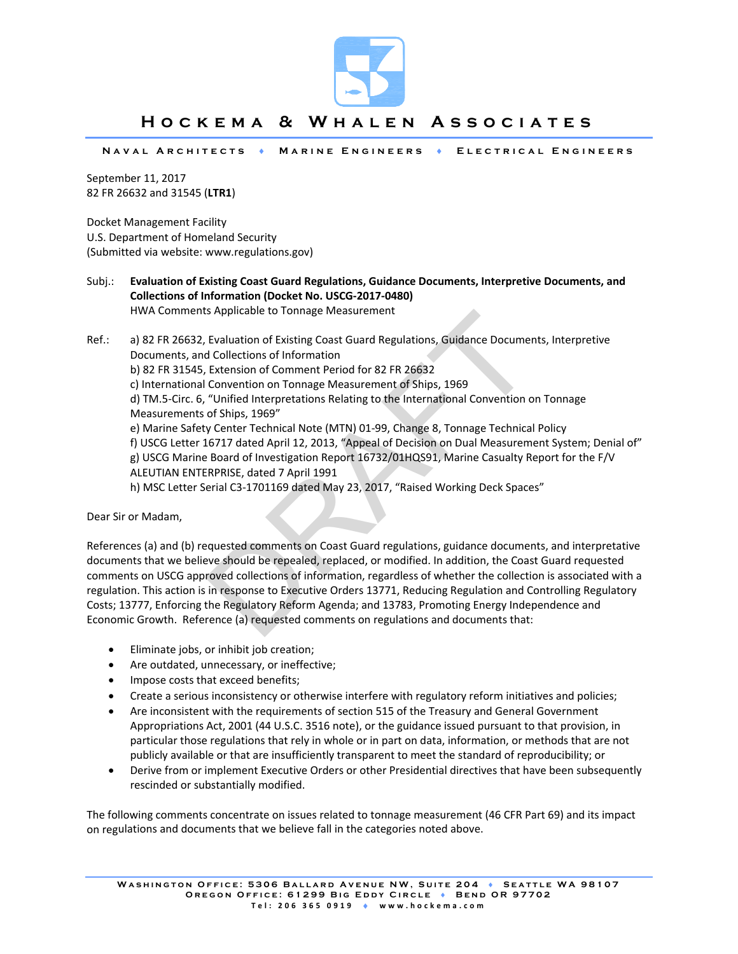

# **Hockema & Whalen Associates**

**Naval Architects Marine Engineers Electrical Engineers** 

September 11, 2017 82 FR 26632 and 31545 (**LTR1**)

Docket Management Facility U.S. Department of Homeland Security (Submitted via website: www.regulations.gov)

- Subj.: **Evaluation of Existing Coast Guard Regulations, Guidance Documents, Interpretive Documents, and Collections of Information (Docket No. USCG‐2017‐0480)** HWA Comments Applicable to Tonnage Measurement
- s Applicable to Tonnage Measurement<br>
Evaluation of Existing Coast Guard Regulations, Guidance Documer<br>
d Collections of Information<br>
Extension of Comment Period for 82 FR 26632<br>
Convention on Tonnage Measurement of Ships, Ref.: a) 82 FR 26632, Evaluation of Existing Coast Guard Regulations, Guidance Documents, Interpretive Documents, and Collections of Information b) 82 FR 31545, Extension of Comment Period for 82 FR 26632 c) International Convention on Tonnage Measurement of Ships, 1969 d) TM.5‐Circ. 6, "Unified Interpretations Relating to the International Convention on Tonnage Measurements of Ships, 1969" e) Marine Safety Center Technical Note (MTN) 01‐99, Change 8, Tonnage Technical Policy f) USCG Letter 16717 dated April 12, 2013, "Appeal of Decision on Dual Measurement System; Denial of" g) USCG Marine Board of Investigation Report 16732/01HQS91, Marine Casualty Report for the F/V ALEUTIAN ENTERPRISE, dated 7 April 1991 h) MSC Letter Serial C3-1701169 dated May 23, 2017, "Raised Working Deck Spaces"

Dear Sir or Madam,

References (a) and (b) requested comments on Coast Guard regulations, guidance documents, and interpretative documents that we believe should be repealed, replaced, or modified. In addition, the Coast Guard requested comments on USCG approved collections of information, regardless of whether the collection is associated with a regulation. This action is in response to Executive Orders 13771, Reducing Regulation and Controlling Regulatory Costs; 13777, Enforcing the Regulatory Reform Agenda; and 13783, Promoting Energy Independence and Economic Growth. Reference (a) requested comments on regulations and documents that:

- Eliminate jobs, or inhibit job creation;
- Are outdated, unnecessary, or ineffective;
- Impose costs that exceed benefits;
- Create a serious inconsistency or otherwise interfere with regulatory reform initiatives and policies;
- Are inconsistent with the requirements of section 515 of the Treasury and General Government Appropriations Act, 2001 (44 U.S.C. 3516 note), or the guidance issued pursuant to that provision, in particular those regulations that rely in whole or in part on data, information, or methods that are not publicly available or that are insufficiently transparent to meet the standard of reproducibility; or
- Derive from or implement Executive Orders or other Presidential directives that have been subsequently rescinded or substantially modified.

The following comments concentrate on issues related to tonnage measurement (46 CFR Part 69) and its impact on regulations and documents that we believe fall in the categories noted above.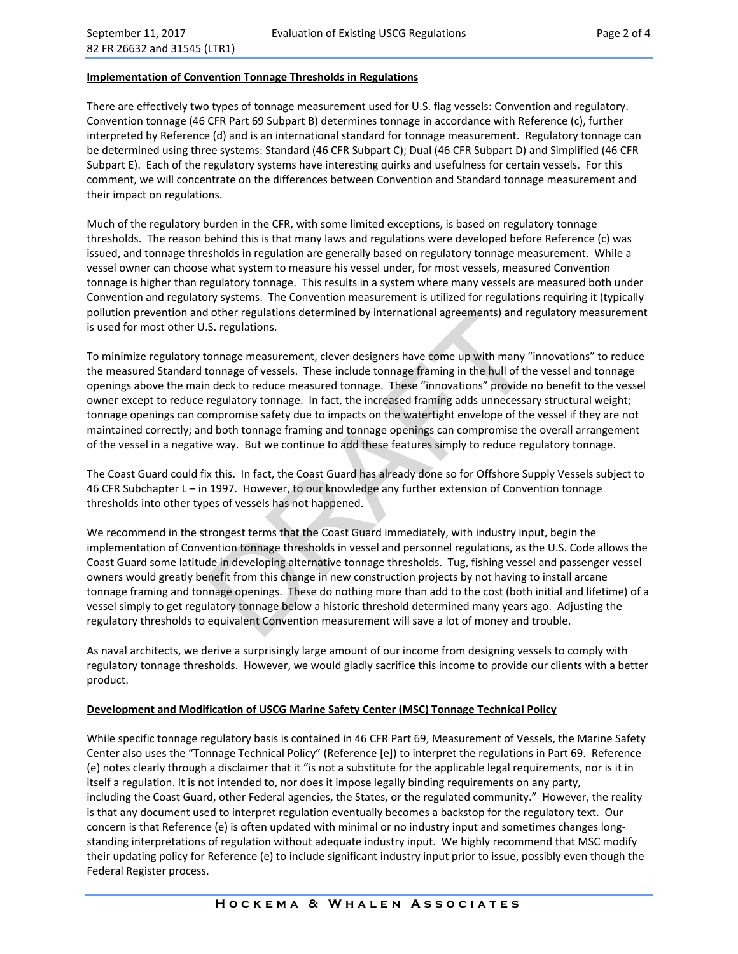## **Implementation of Convention Tonnage Thresholds in Regulations**

There are effectively two types of tonnage measurement used for U.S. flag vessels: Convention and regulatory. Convention tonnage (46 CFR Part 69 Subpart B) determines tonnage in accordance with Reference (c), further interpreted by Reference (d) and is an international standard for tonnage measurement. Regulatory tonnage can be determined using three systems: Standard (46 CFR Subpart C); Dual (46 CFR Subpart D) and Simplified (46 CFR Subpart E). Each of the regulatory systems have interesting quirks and usefulness for certain vessels. For this comment, we will concentrate on the differences between Convention and Standard tonnage measurement and their impact on regulations.

Much of the regulatory burden in the CFR, with some limited exceptions, is based on regulatory tonnage thresholds. The reason behind this is that many laws and regulations were developed before Reference (c) was issued, and tonnage thresholds in regulation are generally based on regulatory tonnage measurement. While a vessel owner can choose what system to measure his vessel under, for most vessels, measured Convention tonnage is higher than regulatory tonnage. This results in a system where many vessels are measured both under Convention and regulatory systems. The Convention measurement is utilized for regulations requiring it (typically pollution prevention and other regulations determined by international agreements) and regulatory measurement is used for most other U.S. regulations.

To minimize regulatory tonnage measurement, clever designers have come up with many "innovations" to reduce the measured Standard tonnage of vessels. These include tonnage framing in the hull of the vessel and tonnage openings above the main deck to reduce measured tonnage. These "innovations" provide no benefit to the vessel owner except to reduce regulatory tonnage. In fact, the increased framing adds unnecessary structural weight; tonnage openings can compromise safety due to impacts on the watertight envelope of the vessel if they are not maintained correctly; and both tonnage framing and tonnage openings can compromise the overall arrangement of the vessel in a negative way. But we continue to add these features simply to reduce regulatory tonnage.

The Coast Guard could fix this. In fact, the Coast Guard has already done so for Offshore Supply Vessels subject to 46 CFR Subchapter L – in 1997. However, to our knowledge any further extension of Convention tonnage thresholds into other types of vessels has not happened.

dother regulations determined by international agreements) and re<br>
S. regulations.<br>
S. regulations.<br>
Connage measurement, clever designers have come up with many "<br>
tonnage of vessels. These include tonnage framing in the We recommend in the strongest terms that the Coast Guard immediately, with industry input, begin the implementation of Convention tonnage thresholds in vessel and personnel regulations, as the U.S. Code allows the Coast Guard some latitude in developing alternative tonnage thresholds. Tug, fishing vessel and passenger vessel owners would greatly benefit from this change in new construction projects by not having to install arcane tonnage framing and tonnage openings. These do nothing more than add to the cost (both initial and lifetime) of a vessel simply to get regulatory tonnage below a historic threshold determined many years ago. Adjusting the regulatory thresholds to equivalent Convention measurement will save a lot of money and trouble.

As naval architects, we derive a surprisingly large amount of our income from designing vessels to comply with regulatory tonnage thresholds. However, we would gladly sacrifice this income to provide our clients with a better product.

#### **Development and Modification of USCG Marine Safety Center (MSC) Tonnage Technical Policy**

While specific tonnage regulatory basis is contained in 46 CFR Part 69, Measurement of Vessels, the Marine Safety Center also uses the "Tonnage Technical Policy" (Reference [e]) to interpret the regulations in Part 69. Reference (e) notes clearly through a disclaimer that it "is not a substitute for the applicable legal requirements, nor is it in itself a regulation. It is not intended to, nor does it impose legally binding requirements on any party, including the Coast Guard, other Federal agencies, the States, or the regulated community." However, the reality is that any document used to interpret regulation eventually becomes a backstop for the regulatory text. Our concern is that Reference (e) is often updated with minimal or no industry input and sometimes changes long‐ standing interpretations of regulation without adequate industry input. We highly recommend that MSC modify their updating policy for Reference (e) to include significant industry input prior to issue, possibly even though the Federal Register process.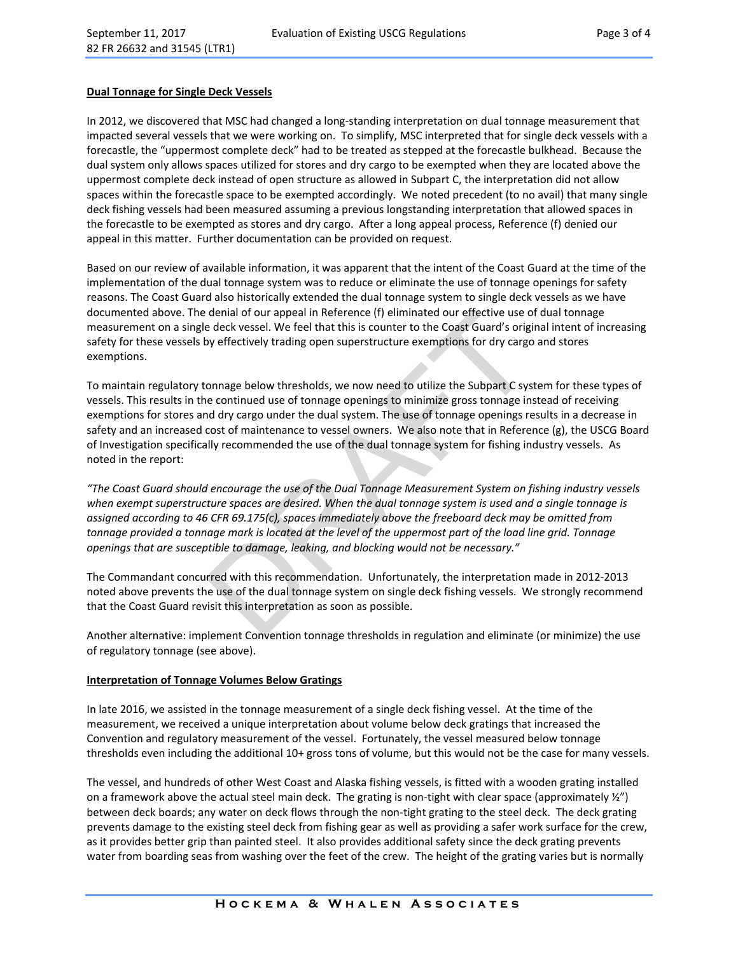### **Dual Tonnage for Single Deck Vessels**

In 2012, we discovered that MSC had changed a long-standing interpretation on dual tonnage measurement that impacted several vessels that we were working on. To simplify, MSC interpreted that for single deck vessels with a forecastle, the "uppermost complete deck" had to be treated as stepped at the forecastle bulkhead. Because the dual system only allows spaces utilized for stores and dry cargo to be exempted when they are located above the uppermost complete deck instead of open structure as allowed in Subpart C, the interpretation did not allow spaces within the forecastle space to be exempted accordingly. We noted precedent (to no avail) that many single deck fishing vessels had been measured assuming a previous longstanding interpretation that allowed spaces in the forecastle to be exempted as stores and dry cargo. After a long appeal process, Reference (f) denied our appeal in this matter. Further documentation can be provided on request.

Based on our review of available information, it was apparent that the intent of the Coast Guard at the time of the implementation of the dual tonnage system was to reduce or eliminate the use of tonnage openings for safety reasons. The Coast Guard also historically extended the dual tonnage system to single deck vessels as we have documented above. The denial of our appeal in Reference (f) eliminated our effective use of dual tonnage measurement on a single deck vessel. We feel that this is counter to the Coast Guard's original intent of increasing safety for these vessels by effectively trading open superstructure exemptions for dry cargo and stores exemptions.

denial of our appeal in Reference (f) eliminated our effective use of edeck vessel. We feel that this is counter to the Coast Guard's original dy effectively trading open superstructure exemptions for dry cargo on anage be To maintain regulatory tonnage below thresholds, we now need to utilize the Subpart C system for these types of vessels. This results in the continued use of tonnage openings to minimize gross tonnage instead of receiving exemptions for stores and dry cargo under the dual system. The use of tonnage openings results in a decrease in safety and an increased cost of maintenance to vessel owners. We also note that in Reference (g), the USCG Board of Investigation specifically recommended the use of the dual tonnage system for fishing industry vessels. As noted in the report:

*"The Coast Guard should encourage the use of the Dual Tonnage Measurement System on fishing industry vessels when exempt superstructure spaces are desired. When the dual tonnage system is used and a single tonnage is assigned according to 46 CFR 69.175(c), spaces immediately above the freeboard deck may be omitted from tonnage provided a tonnage mark is located at the level of the uppermost part of the load line grid. Tonnage openings that are susceptible to damage, leaking, and blocking would not be necessary."* 

The Commandant concurred with this recommendation. Unfortunately, the interpretation made in 2012‐2013 noted above prevents the use of the dual tonnage system on single deck fishing vessels. We strongly recommend that the Coast Guard revisit this interpretation as soon as possible.

Another alternative: implement Convention tonnage thresholds in regulation and eliminate (or minimize) the use of regulatory tonnage (see above).

#### **Interpretation of Tonnage Volumes Below Gratings**

In late 2016, we assisted in the tonnage measurement of a single deck fishing vessel. At the time of the measurement, we received a unique interpretation about volume below deck gratings that increased the Convention and regulatory measurement of the vessel. Fortunately, the vessel measured below tonnage thresholds even including the additional 10+ gross tons of volume, but this would not be the case for many vessels.

The vessel, and hundreds of other West Coast and Alaska fishing vessels, is fitted with a wooden grating installed on a framework above the actual steel main deck. The grating is non-tight with clear space (approximately  $\frac{1}{2}$ ) between deck boards; any water on deck flows through the non-tight grating to the steel deck. The deck grating prevents damage to the existing steel deck from fishing gear as well as providing a safer work surface for the crew, as it provides better grip than painted steel. It also provides additional safety since the deck grating prevents water from boarding seas from washing over the feet of the crew. The height of the grating varies but is normally